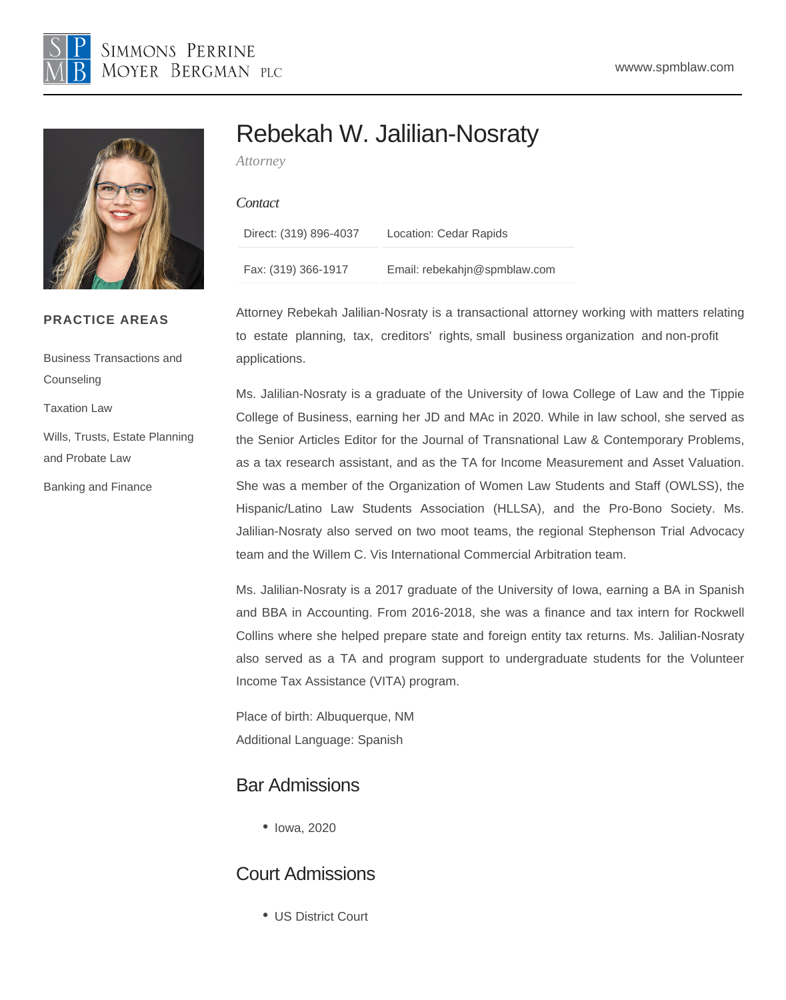# Rebekah W. Jalilian-Nosraty

Attorney

#### **Contact**

| Direct: (319) 896-4037 | Location: Cedar Rapids       |
|------------------------|------------------------------|
| Fax: (319) 366-1917    | Email: rebekahjn@spmblaw.com |

PRACTICE AREAS

**[Counseling](/var/www/html/{CCM:CID_205})** 

[Taxation Law](/var/www/html/{CCM:CID_215})

[and Probate Law](/var/www/html/{CCM:CID_217})

[Banking and Finance](/var/www/html/{CCM:CID_204})

[Business Transactions and](/var/www/html/{CCM:CID_205}) 

[Wills, Trusts, Estate Planning](/var/www/html/{CCM:CID_217}) 

Attorney Rebekah Jalilian-Nosraty is a transactional attorney working with matters relating to [estate planning](https://www.spmblaw.com/our-practices/business-transactions/wills-trusts-estate-planning-and-probate-law)[, ta](https://www.spmblaw.com/our-practices/business-transactions/taxation-law)[x, creditors' rig](https://www.spmblaw.com/our-practices/litigation/creditors-rights-bankruptcy-law)[hts, small busin](https://www.spmblaw.com/our-practices/business-transactions/business-transactions-counseling)ess organization [and non-pr](https://www.spmblaw.com/our-practices/business-transactions/business-transactions-counseling)ofit applications.

Ms. Jalilian-Nosraty is a graduate of the University of Iowa College of Law and the Tippie College of Business, earning her JD and MAc in 2020. While in law school, she served as the Senior Articles Editor for the Journal of Transnational Law & Contemporary Problems, as a tax research assistant, and as the TA for Income Measurement and Asset Valuation. She was a member of the Organization of Women Law Students and Staff (OWLSS), the Hispanic/Latino Law Students Association (HLLSA), and the Pro-Bono Society. Ms. Jalilian-Nosraty also served on two moot teams, the regional Stephenson Trial Advocacy team and the Willem C. Vis International Commercial Arbitration team.

Ms. Jalilian-Nosraty is a 2017 graduate of the University of Iowa, earning a BA in Spanish and BBA in Accounting. From 2016-2018, she was a finance and tax intern for Rockwell Collins where she helped prepare state and foreign entity tax returns. Ms. Jalilian-Nosraty also served as a TA and program support to undergraduate students for the Volunteer Income Tax Assistance (VITA) program.

Place of birth: Albuquerque, NM Additional Language: Spanish

#### Bar Admissions

• Iowa, 2020

### Court Admissions

US District Court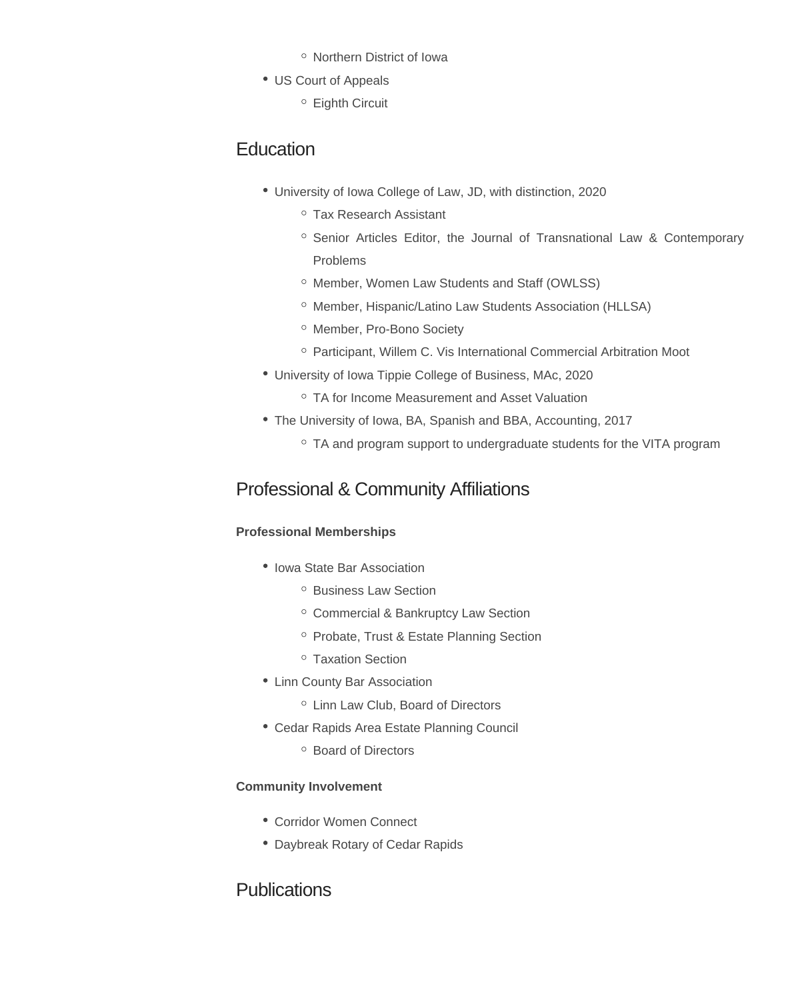- Northern District of Iowa
- US Court of Appeals
	- Eighth Circuit

# **Education**

- University of Iowa College of Law, JD, with distinction, 2020
	- Tax Research Assistant
	- <sup>o</sup> Senior Articles Editor, the Journal of Transnational Law & Contemporary Problems
	- o Member, Women Law Students and Staff (OWLSS)
	- <sup>o</sup> Member, Hispanic/Latino Law Students Association (HLLSA)
	- <sup>o</sup> Member, Pro-Bono Society
	- <sup>o</sup> Participant, Willem C. Vis International Commercial Arbitration Moot
- University of Iowa Tippie College of Business, MAc, 2020
	- TA for Income Measurement and Asset Valuation
- The University of Iowa, BA, Spanish and BBA, Accounting, 2017
	- TA and program support to undergraduate students for the VITA program

# Professional & Community Affiliations

#### **Professional Memberships**

- Iowa State Bar Association
	- <sup>o</sup> Business Law Section
	- o Commercial & Bankruptcy Law Section
	- <sup>o</sup> Probate, Trust & Estate Planning Section
	- Taxation Section
- Linn County Bar Association
	- o Linn Law Club, Board of Directors
- Cedar Rapids Area Estate Planning Council
	- Board of Directors

#### **Community Involvement**

- Corridor Women Connect
- Daybreak Rotary of Cedar Rapids

### **Publications**